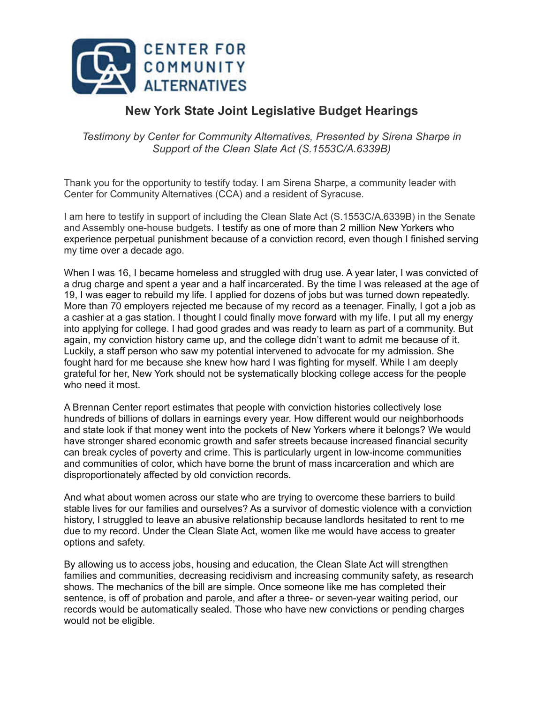

## **New York State Joint Legislative Budget Hearings**

*Testimony by Center for Community Alternatives, Presented by Sirena Sharpe in Support of the Clean Slate Act (S.1553C/A.6339B)*

Thank you for the opportunity to testify today. I am Sirena Sharpe, a community leader with Center for Community Alternatives (CCA) and a resident of Syracuse.

I am here to testify in support of including the Clean Slate Act (S.1553C/A.6339B) in the Senate and Assembly one-house budgets. I testify as one of more than 2 million New Yorkers who experience perpetual punishment because of a conviction record, even though I finished serving my time over a decade ago.

When I was 16, I became homeless and struggled with drug use. A year later, I was convicted of a drug charge and spent a year and a half incarcerated. By the time I was released at the age of 19, I was eager to rebuild my life. I applied for dozens of jobs but was turned down repeatedly. More than 70 employers rejected me because of my record as a teenager. Finally, I got a job as a cashier at a gas station. I thought I could finally move forward with my life. I put all my energy into applying for college. I had good grades and was ready to learn as part of a community. But again, my conviction history came up, and the college didn't want to admit me because of it. Luckily, a staff person who saw my potential intervened to advocate for my admission. She fought hard for me because she knew how hard I was fighting for myself. While I am deeply grateful for her, New York should not be systematically blocking college access for the people who need it most.

A Brennan Center report estimates that people with conviction histories collectively [lose](https://urldefense.com/v3/__https://www.brennancenter.org/sites/default/files/2020-09/EconomicImpactReport_pdf.pdf__;!!Ivohdkk!yFOA_FrBorurEBSJ_2SYHFEIqaBkRkOf1nLZ7NzaPjZkiIK7PgjMoNXIBgxAE4DRDmAn%24) [hundreds](https://urldefense.com/v3/__https://www.brennancenter.org/sites/default/files/2020-09/EconomicImpactReport_pdf.pdf__;!!Ivohdkk!yFOA_FrBorurEBSJ_2SYHFEIqaBkRkOf1nLZ7NzaPjZkiIK7PgjMoNXIBgxAE4DRDmAn%24) of billions of dollars in earnings every year. How different would our neighborhoods and state look if that money went into the pockets of New Yorkers where it belongs? We would have stronger shared economic growth and safer streets because increased financial security can break cycles of poverty and crime. This is particularly urgent in low-income communities and communities of color, which have borne the brunt of mass incarceration and which are disproportionately affected by old conviction records.

And what about women across our state who are trying to overcome these barriers to build stable lives for our families and ourselves? As a survivor of domestic violence with a conviction history, I struggled to leave an abusive relationship because landlords hesitated to rent to me due to my record. Under the Clean Slate Act, women like me would have access to greater options and safety.

By allowing us to access jobs, housing and education, the Clean Slate Act will strengthen families and communities, decreasing recidivism and increasing community safety, as [research](https://urldefense.com/v3/__https://online.ucpress.edu/fsr/article-abstract/30/4-5/361/96141/Michigan-Set-Asides-Found-to-Increase-Wages-and?redirectedFrom=fulltext__;!!Ivohdkk!yFOA_FrBorurEBSJ_2SYHFEIqaBkRkOf1nLZ7NzaPjZkiIK7PgjMoNXIBgxAE-ft-xY8%24) shows. The mechanics of the bill are simple. Once someone like me has completed their sentence, is off of probation and parole, and after a three- or seven-year waiting period, our records would be automatically sealed. Those who have new convictions or pending charges would not be eligible.